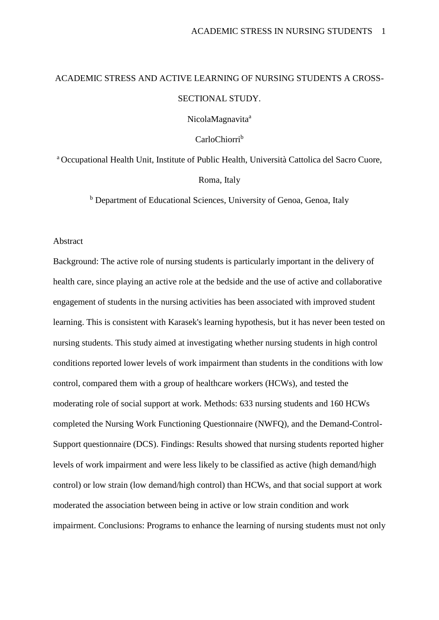# ACADEMIC STRESS AND ACTIVE LEARNING OF NURSING STUDENTS A CROSS-SECTIONAL STUDY.

NicolaMagnavita<sup>a</sup>

CarloChiorri<sup>b</sup>

<sup>a</sup> Occupational Health Unit, Institute of Public Health, Università Cattolica del Sacro Cuore, Roma, Italy

<sup>b</sup> Department of Educational Sciences, University of Genoa, Genoa, Italy

#### Abstract

Background: The active role of nursing students is particularly important in the delivery of health care, since playing an active role at the bedside and the use of active and collaborative engagement of students in the nursing activities has been associated with improved student learning. This is consistent with Karasek's learning hypothesis, but it has never been tested on nursing students. This study aimed at investigating whether nursing students in high control conditions reported lower levels of work impairment than students in the conditions with low control, compared them with a group of healthcare workers (HCWs), and tested the moderating role of social support at work. Methods: 633 nursing students and 160 HCWs completed the Nursing Work Functioning Questionnaire (NWFQ), and the Demand-Control-Support questionnaire (DCS). Findings: Results showed that nursing students reported higher levels of work impairment and were less likely to be classified as active (high demand/high control) or low strain (low demand/high control) than HCWs, and that social support at work moderated the association between being in active or low strain condition and work impairment. Conclusions: Programs to enhance the learning of nursing students must not only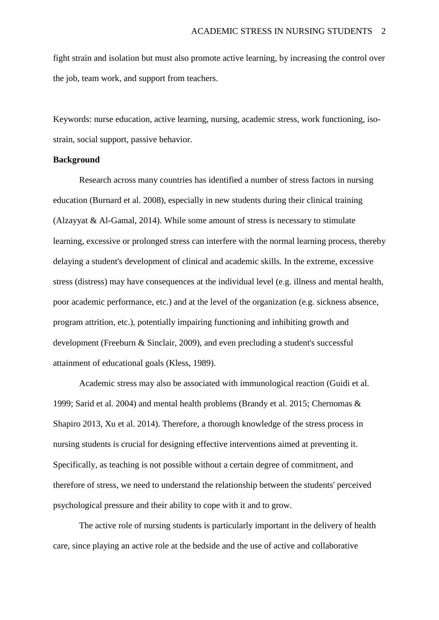fight strain and isolation but must also promote active learning, by increasing the control over the job, team work, and support from teachers.

Keywords: nurse education, active learning, nursing, academic stress, work functioning, isostrain, social support, passive behavior.

#### **Background**

Research across many countries has identified a number of stress factors in nursing education (Burnard et al. 2008), especially in new students during their clinical training (Alzayyat & Al-Gamal, 2014). While some amount of stress is necessary to stimulate learning, excessive or prolonged stress can interfere with the normal learning process, thereby delaying a student's development of clinical and academic skills. In the extreme, excessive stress (distress) may have consequences at the individual level (e.g. illness and mental health, poor academic performance, etc.) and at the level of the organization (e.g. sickness absence, program attrition, etc.), potentially impairing functioning and inhibiting growth and development (Freeburn & Sinclair, 2009), and even precluding a student's successful attainment of educational goals (Kless, 1989).

Academic stress may also be associated with immunological reaction (Guidi et al. 1999; Sarid et al. 2004) and mental health problems (Brandy et al. 2015; Chernomas & Shapiro 2013, Xu et al. 2014). Therefore, a thorough knowledge of the stress process in nursing students is crucial for designing effective interventions aimed at preventing it. Specifically, as teaching is not possible without a certain degree of commitment, and therefore of stress, we need to understand the relationship between the students' perceived psychological pressure and their ability to cope with it and to grow.

The active role of nursing students is particularly important in the delivery of health care, since playing an active role at the bedside and the use of active and collaborative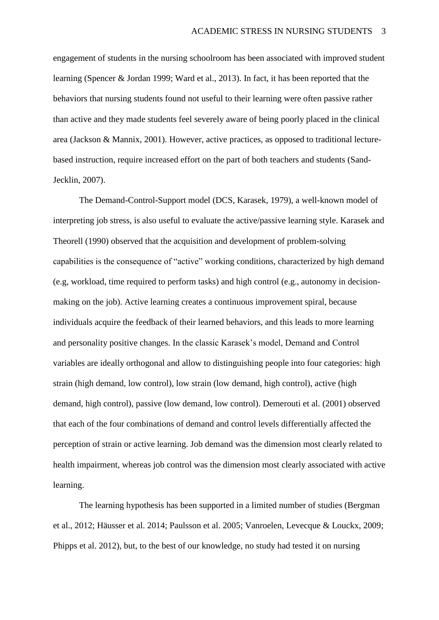engagement of students in the nursing schoolroom has been associated with improved student learning (Spencer & Jordan 1999; Ward et al., 2013). In fact, it has been reported that the behaviors that nursing students found not useful to their learning were often passive rather than active and they made students feel severely aware of being poorly placed in the clinical area (Jackson & Mannix, 2001). However, active practices, as opposed to traditional lecturebased instruction, require increased effort on the part of both teachers and students (Sand-Jecklin, 2007).

The Demand-Control-Support model (DCS, Karasek, 1979), a well-known model of interpreting job stress, is also useful to evaluate the active/passive learning style. Karasek and Theorell (1990) observed that the acquisition and development of problem-solving capabilities is the consequence of "active" working conditions, characterized by high demand (e.g, workload, time required to perform tasks) and high control (e.g., autonomy in decisionmaking on the job). Active learning creates a continuous improvement spiral, because individuals acquire the feedback of their learned behaviors, and this leads to more learning and personality positive changes. In the classic Karasek's model, Demand and Control variables are ideally orthogonal and allow to distinguishing people into four categories: high strain (high demand, low control), low strain (low demand, high control), active (high demand, high control), passive (low demand, low control). Demerouti et al. (2001) observed that each of the four combinations of demand and control levels differentially affected the perception of strain or active learning. Job demand was the dimension most clearly related to health impairment, whereas job control was the dimension most clearly associated with active learning.

The learning hypothesis has been supported in a limited number of studies (Bergman et al., 2012; Häusser et al. 2014; Paulsson et al. 2005; Vanroelen, Levecque & Louckx, 2009; Phipps et al. 2012), but, to the best of our knowledge, no study had tested it on nursing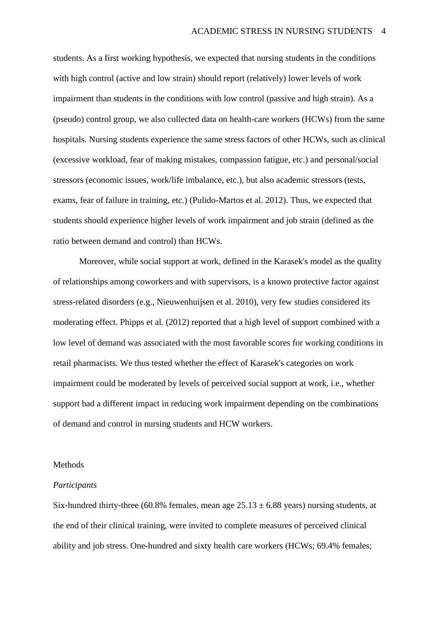students. As a first working hypothesis, we expected that nursing students in the conditions with high control (active and low strain) should report (relatively) lower levels of work impairment than students in the conditions with low control (passive and high strain). As a (pseudo) control group, we also collected data on health-care workers (HCWs) from the same hospitals. Nursing students experience the same stress factors of other HCWs, such as clinical (excessive workload, fear of making mistakes, compassion fatigue, etc.) and personal/social stressors (economic issues, work/life imbalance, etc.), but also academic stressors (tests, exams, fear of failure in training, etc.) (Pulido-Martos et al. 2012). Thus, we expected that students should experience higher levels of work impairment and job strain (defined as the ratio between demand and control) than HCWs.

Moreover, while social support at work, defined in the Karasek's model as the quality of relationships among coworkers and with supervisors, is a known protective factor against stress-related disorders (e.g., Nieuwenhuijsen et al. 2010), very few studies considered its moderating effect. Phipps et al. (2012) reported that a high level of support combined with a low level of demand was associated with the most favorable scores for working conditions in retail pharmacists. We thus tested whether the effect of Karasek's categories on work impairment could be moderated by levels of perceived social support at work, i.e., whether support had a different impact in reducing work impairment depending on the combinations of demand and control in nursing students and HCW workers.

#### Methods

#### *Participants*

Six-hundred thirty-three (60.8% females, mean age  $25.13 \pm 6.88$  years) nursing students, at the end of their clinical training, were invited to complete measures of perceived clinical ability and job stress. One-hundred and sixty health care workers (HCWs; 69.4% females;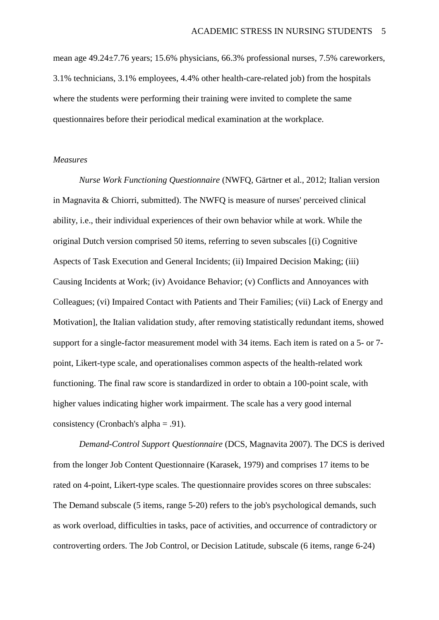mean age 49.24±7.76 years; 15.6% physicians, 66.3% professional nurses, 7.5% careworkers, 3.1% technicians, 3.1% employees, 4.4% other health-care-related job) from the hospitals where the students were performing their training were invited to complete the same questionnaires before their periodical medical examination at the workplace.

#### *Measures*

*Nurse Work Functioning Questionnaire* (NWFQ, Gärtner et al., 2012; Italian version in Magnavita & Chiorri, submitted). The NWFQ is measure of nurses' perceived clinical ability, i.e., their individual experiences of their own behavior while at work. While the original Dutch version comprised 50 items, referring to seven subscales [(i) Cognitive Aspects of Task Execution and General Incidents; (ii) Impaired Decision Making; (iii) Causing Incidents at Work; (iv) Avoidance Behavior; (v) Conflicts and Annoyances with Colleagues; (vi) Impaired Contact with Patients and Their Families; (vii) Lack of Energy and Motivation], the Italian validation study, after removing statistically redundant items, showed support for a single-factor measurement model with 34 items. Each item is rated on a 5- or 7 point, Likert-type scale, and operationalises common aspects of the health-related work functioning. The final raw score is standardized in order to obtain a 100-point scale, with higher values indicating higher work impairment. The scale has a very good internal consistency (Cronbach's alpha = .91).

*Demand-Control Support Questionnaire* (DCS, Magnavita 2007). The DCS is derived from the longer Job Content Questionnaire (Karasek, 1979) and comprises 17 items to be rated on 4-point, Likert-type scales. The questionnaire provides scores on three subscales: The Demand subscale (5 items, range 5-20) refers to the job's psychological demands, such as work overload, difficulties in tasks, pace of activities, and occurrence of contradictory or controverting orders. The Job Control, or Decision Latitude, subscale (6 items, range 6-24)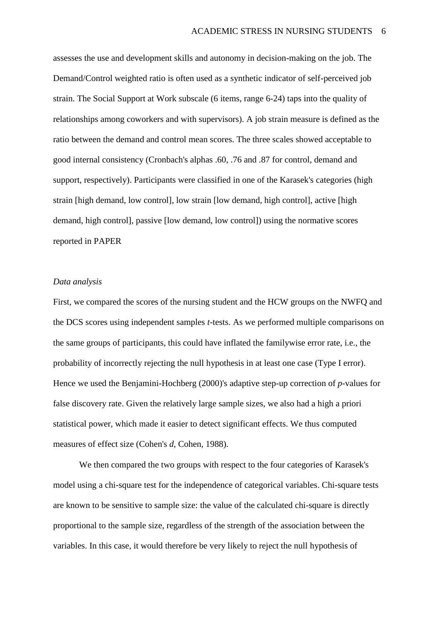assesses the use and development skills and autonomy in decision-making on the job. The Demand/Control weighted ratio is often used as a synthetic indicator of self-perceived job strain. The Social Support at Work subscale (6 items, range 6-24) taps into the quality of relationships among coworkers and with supervisors). A job strain measure is defined as the ratio between the demand and control mean scores. The three scales showed acceptable to good internal consistency (Cronbach's alphas .60, .76 and .87 for control, demand and support, respectively). Participants were classified in one of the Karasek's categories (high strain [high demand, low control], low strain [low demand, high control], active [high demand, high control], passive [low demand, low control]) using the normative scores reported in PAPER

#### *Data analysis*

First, we compared the scores of the nursing student and the HCW groups on the NWFQ and the DCS scores using independent samples *t*-tests. As we performed multiple comparisons on the same groups of participants, this could have inflated the familywise error rate, i.e., the probability of incorrectly rejecting the null hypothesis in at least one case (Type I error). Hence we used the Benjamini-Hochberg (2000)'s adaptive step-up correction of *p*-values for false discovery rate. Given the relatively large sample sizes, we also had a high a priori statistical power, which made it easier to detect significant effects. We thus computed measures of effect size (Cohen's *d*, Cohen, 1988).

We then compared the two groups with respect to the four categories of Karasek's model using a chi-square test for the independence of categorical variables. Chi-square tests are known to be sensitive to sample size: the value of the calculated chi-square is directly proportional to the sample size, regardless of the strength of the association between the variables. In this case, it would therefore be very likely to reject the null hypothesis of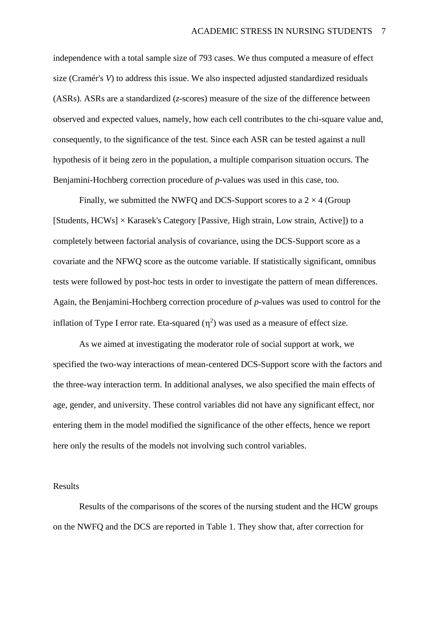independence with a total sample size of 793 cases. We thus computed a measure of effect size (Cramér's *V*) to address this issue. We also inspected adjusted standardized residuals (ASRs). ASRs are a standardized (*z*-scores) measure of the size of the difference between observed and expected values, namely, how each cell contributes to the chi-square value and, consequently, to the significance of the test. Since each ASR can be tested against a null hypothesis of it being zero in the population, a multiple comparison situation occurs. The Benjamini-Hochberg correction procedure of *p*-values was used in this case, too.

Finally, we submitted the NWFQ and DCS-Support scores to a  $2 \times 4$  (Group [Students,  $HCWs$ ]  $\times$  Karasek's Category [Passive, High strain, Low strain, Active]) to a completely between factorial analysis of covariance, using the DCS-Support score as a covariate and the NFWQ score as the outcome variable. If statistically significant, omnibus tests were followed by post-hoc tests in order to investigate the pattern of mean differences. Again, the Benjamini-Hochberg correction procedure of *p*-values was used to control for the inflation of Type I error rate. Eta-squared  $(\eta^2)$  was used as a measure of effect size.

As we aimed at investigating the moderator role of social support at work, we specified the two-way interactions of mean-centered DCS-Support score with the factors and the three-way interaction term. In additional analyses, we also specified the main effects of age, gender, and university. These control variables did not have any significant effect, nor entering them in the model modified the significance of the other effects, hence we report here only the results of the models not involving such control variables.

#### Results

Results of the comparisons of the scores of the nursing student and the HCW groups on the NWFQ and the DCS are reported in Table 1. They show that, after correction for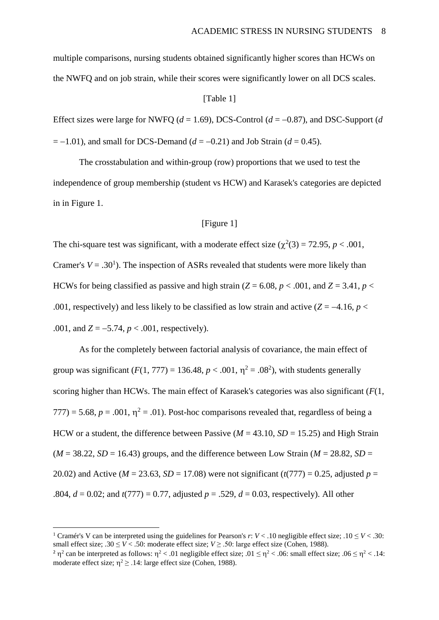multiple comparisons, nursing students obtained significantly higher scores than HCWs on the NWFQ and on job strain, while their scores were significantly lower on all DCS scales.

#### [Table 1]

Effect sizes were large for NWFQ ( $d = 1.69$ ), DCS-Control ( $d = -0.87$ ), and DSC-Support ( $d$  $= -1.01$ ), and small for DCS-Demand ( $d = -0.21$ ) and Job Strain ( $d = 0.45$ ).

The crosstabulation and within-group (row) proportions that we used to test the independence of group membership (student vs HCW) and Karasek's categories are depicted in in Figure 1.

#### [Figure 1]

The chi-square test was significant, with a moderate effect size  $(\chi^2(3) = 72.95, p < .001,$ Cramer's  $V = .30<sup>1</sup>$ ). The inspection of ASRs revealed that students were more likely than HCWs for being classified as passive and high strain ( $Z = 6.08$ ,  $p < .001$ , and  $Z = 3.41$ ,  $p <$ .001, respectively) and less likely to be classified as low strain and active  $(Z = -4.16, p <$ .001, and  $Z = -5.74$ ,  $p < .001$ , respectively).

As for the completely between factorial analysis of covariance, the main effect of group was significant  $(F(1, 777) = 136.48, p < .001, \eta^2 = .08^2)$ , with students generally scoring higher than HCWs. The main effect of Karasek's categories was also significant (*F*(1,  $777$ ) = 5.68,  $p = .001$ ,  $\eta^2 = .01$ ). Post-hoc comparisons revealed that, regardless of being a HCW or a student, the difference between Passive ( $M = 43.10$ ,  $SD = 15.25$ ) and High Strain  $(M = 38.22, SD = 16.43)$  groups, and the difference between Low Strain  $(M = 28.82, SD =$ 20.02) and Active ( $M = 23.63$ ,  $SD = 17.08$ ) were not significant ( $t(777) = 0.25$ , adjusted  $p =$ .804,  $d = 0.02$ ; and  $t(777) = 0.77$ , adjusted  $p = .529$ ,  $d = 0.03$ , respectively). All other

1

<sup>&</sup>lt;sup>1</sup> Cramér's V can be interpreted using the guidelines for Pearson's *r*:  $V < 0.10$  negligible effect size;  $0.10 \le V < 0.30$ : small effect size; .30  $\leq$  *V* < .50: moderate effect size; *V*  $\geq$  .50: large effect size (Cohen, 1988).

<sup>&</sup>lt;sup>2</sup>  $\eta$ <sup>2</sup> can be interpreted as follows:  $\eta$ <sup>2</sup> < .01 negligible effect size; .01  $\leq \eta$ <sup>2</sup> < .06: small effect size; .06  $\leq \eta$ <sup>2</sup> < .14: moderate effect size;  $\eta^2 \geq 0.14$ : large effect size (Cohen, 1988).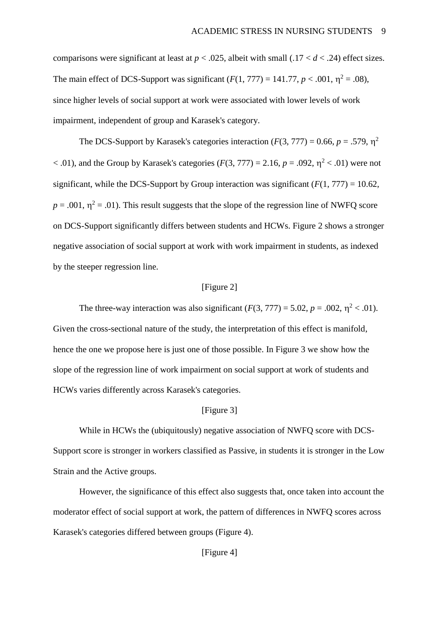comparisons were significant at least at  $p < .025$ , albeit with small (.17  $< d < .24$ ) effect sizes. The main effect of DCS-Support was significant  $(F(1, 777) = 141.77, p < .001, \eta^2 = .08)$ , since higher levels of social support at work were associated with lower levels of work impairment, independent of group and Karasek's category.

The DCS-Support by Karasek's categories interaction  $(F(3, 777) = 0.66, p = .579, \eta^2$  $<$  .01), and the Group by Karasek's categories ( $F(3, 777) = 2.16$ ,  $p = .092$ ,  $\eta^2 < .01$ ) were not significant, while the DCS-Support by Group interaction was significant  $(F(1, 777) = 10.62$ ,  $p = .001$ ,  $\eta^2 = .01$ ). This result suggests that the slope of the regression line of NWFQ score on DCS-Support significantly differs between students and HCWs. Figure 2 shows a stronger negative association of social support at work with work impairment in students, as indexed by the steeper regression line.

#### [Figure 2]

The three-way interaction was also significant  $(F(3, 777) = 5.02, p = .002, \eta^2 < .01)$ . Given the cross-sectional nature of the study, the interpretation of this effect is manifold, hence the one we propose here is just one of those possible. In Figure 3 we show how the slope of the regression line of work impairment on social support at work of students and HCWs varies differently across Karasek's categories.

#### [Figure 3]

While in HCWs the (ubiquitously) negative association of NWFQ score with DCS-Support score is stronger in workers classified as Passive, in students it is stronger in the Low Strain and the Active groups.

However, the significance of this effect also suggests that, once taken into account the moderator effect of social support at work, the pattern of differences in NWFQ scores across Karasek's categories differed between groups (Figure 4).

### [Figure 4]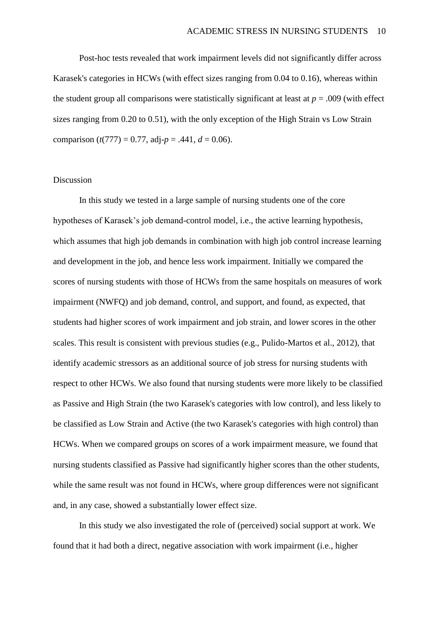Post-hoc tests revealed that work impairment levels did not significantly differ across Karasek's categories in HCWs (with effect sizes ranging from 0.04 to 0.16), whereas within the student group all comparisons were statistically significant at least at  $p = .009$  (with effect sizes ranging from 0.20 to 0.51), with the only exception of the High Strain vs Low Strain comparison ( $t(777) = 0.77$ , adj- $p = .441$ ,  $d = 0.06$ ).

#### Discussion

In this study we tested in a large sample of nursing students one of the core hypotheses of Karasek's job demand-control model, i.e., the active learning hypothesis, which assumes that high job demands in combination with high job control increase learning and development in the job, and hence less work impairment. Initially we compared the scores of nursing students with those of HCWs from the same hospitals on measures of work impairment (NWFQ) and job demand, control, and support, and found, as expected, that students had higher scores of work impairment and job strain, and lower scores in the other scales. This result is consistent with previous studies (e.g., Pulido-Martos et al., 2012), that identify academic stressors as an additional source of job stress for nursing students with respect to other HCWs. We also found that nursing students were more likely to be classified as Passive and High Strain (the two Karasek's categories with low control), and less likely to be classified as Low Strain and Active (the two Karasek's categories with high control) than HCWs. When we compared groups on scores of a work impairment measure, we found that nursing students classified as Passive had significantly higher scores than the other students, while the same result was not found in HCWs, where group differences were not significant and, in any case, showed a substantially lower effect size.

In this study we also investigated the role of (perceived) social support at work. We found that it had both a direct, negative association with work impairment (i.e., higher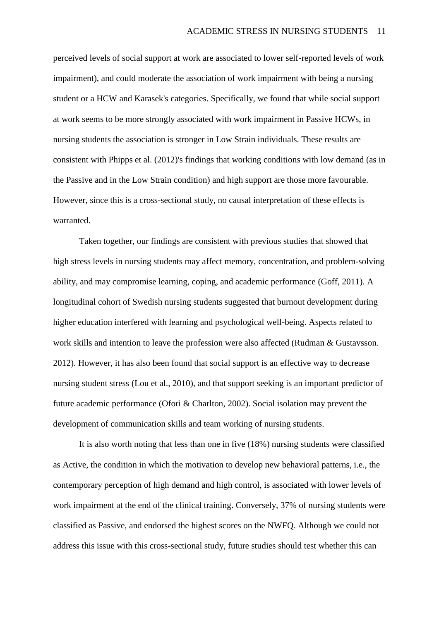perceived levels of social support at work are associated to lower self-reported levels of work impairment), and could moderate the association of work impairment with being a nursing student or a HCW and Karasek's categories. Specifically, we found that while social support at work seems to be more strongly associated with work impairment in Passive HCWs, in nursing students the association is stronger in Low Strain individuals. These results are consistent with Phipps et al. (2012)'s findings that working conditions with low demand (as in the Passive and in the Low Strain condition) and high support are those more favourable. However, since this is a cross-sectional study, no causal interpretation of these effects is warranted.

Taken together, our findings are consistent with previous studies that showed that high stress levels in nursing students may affect memory, concentration, and problem-solving ability, and may compromise learning, coping, and academic performance (Goff, 2011). A longitudinal cohort of Swedish nursing students suggested that burnout development during higher education interfered with learning and psychological well-being. Aspects related to work skills and intention to leave the profession were also affected (Rudman & Gustavsson. 2012). However, it has also been found that social support is an effective way to decrease nursing student stress (Lou et al., 2010), and that support seeking is an important predictor of future academic performance (Ofori & Charlton, 2002). Social isolation may prevent the development of communication skills and team working of nursing students.

It is also worth noting that less than one in five (18%) nursing students were classified as Active, the condition in which the motivation to develop new behavioral patterns, i.e., the contemporary perception of high demand and high control, is associated with lower levels of work impairment at the end of the clinical training. Conversely, 37% of nursing students were classified as Passive, and endorsed the highest scores on the NWFQ. Although we could not address this issue with this cross-sectional study, future studies should test whether this can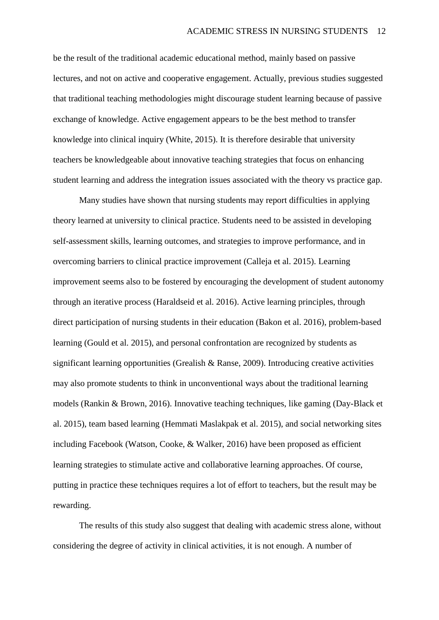be the result of the traditional academic educational method, mainly based on passive lectures, and not on active and cooperative engagement. Actually, previous studies suggested that traditional teaching methodologies might discourage student learning because of passive exchange of knowledge. Active engagement appears to be the best method to transfer knowledge into clinical inquiry (White, 2015). It is therefore desirable that university teachers be knowledgeable about innovative teaching strategies that focus on enhancing student learning and address the integration issues associated with the theory vs practice gap.

Many studies have shown that nursing students may report difficulties in applying theory learned at university to clinical practice. Students need to be assisted in developing self-assessment skills, learning outcomes, and strategies to improve performance, and in overcoming barriers to clinical practice improvement (Calleja et al. 2015). Learning improvement seems also to be fostered by encouraging the development of student autonomy through an iterative process (Haraldseid et al. 2016). Active learning principles, through direct participation of nursing students in their education (Bakon et al. 2016), problem-based learning (Gould et al. 2015), and personal confrontation are recognized by students as significant learning opportunities (Grealish & Ranse, 2009). Introducing creative activities may also promote students to think in unconventional ways about the traditional learning models (Rankin & Brown, 2016). Innovative teaching techniques, like gaming (Day-Black et al. 2015), team based learning (Hemmati Maslakpak et al. 2015), and social networking sites including Facebook (Watson, Cooke, & Walker, 2016) have been proposed as efficient learning strategies to stimulate active and collaborative learning approaches. Of course, putting in practice these techniques requires a lot of effort to teachers, but the result may be rewarding.

The results of this study also suggest that dealing with academic stress alone, without considering the degree of activity in clinical activities, it is not enough. A number of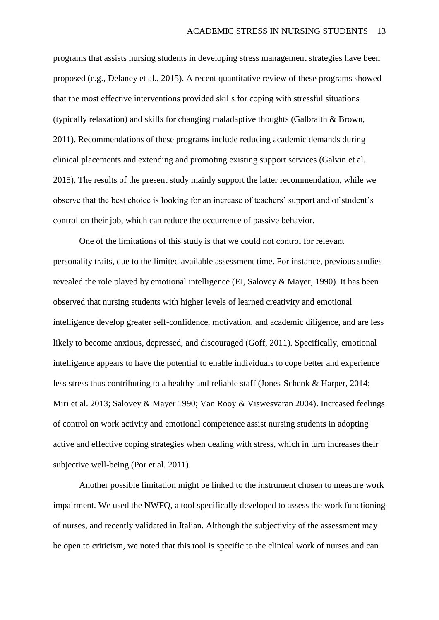programs that assists nursing students in developing stress management strategies have been proposed (e.g., Delaney et al., 2015). A recent quantitative review of these programs showed that the most effective interventions provided skills for coping with stressful situations (typically relaxation) and skills for changing maladaptive thoughts (Galbraith & Brown, 2011). Recommendations of these programs include reducing academic demands during clinical placements and extending and promoting existing support services (Galvin et al. 2015). The results of the present study mainly support the latter recommendation, while we observe that the best choice is looking for an increase of teachers' support and of student's control on their job, which can reduce the occurrence of passive behavior.

One of the limitations of this study is that we could not control for relevant personality traits, due to the limited available assessment time. For instance, previous studies revealed the role played by emotional intelligence (EI, Salovey & Mayer, 1990). It has been observed that nursing students with higher levels of learned creativity and emotional intelligence develop greater self-confidence, motivation, and academic diligence, and are less likely to become anxious, depressed, and discouraged (Goff, 2011). Specifically, emotional intelligence appears to have the potential to enable individuals to cope better and experience less stress thus contributing to a healthy and reliable staff (Jones-Schenk & Harper, 2014; Miri et al. 2013; Salovey & Mayer 1990; Van Rooy & Viswesvaran 2004). Increased feelings of control on work activity and emotional competence assist nursing students in adopting active and effective coping strategies when dealing with stress, which in turn increases their subjective well-being (Por et al. 2011).

Another possible limitation might be linked to the instrument chosen to measure work impairment. We used the NWFQ, a tool specifically developed to assess the work functioning of nurses, and recently validated in Italian. Although the subjectivity of the assessment may be open to criticism, we noted that this tool is specific to the clinical work of nurses and can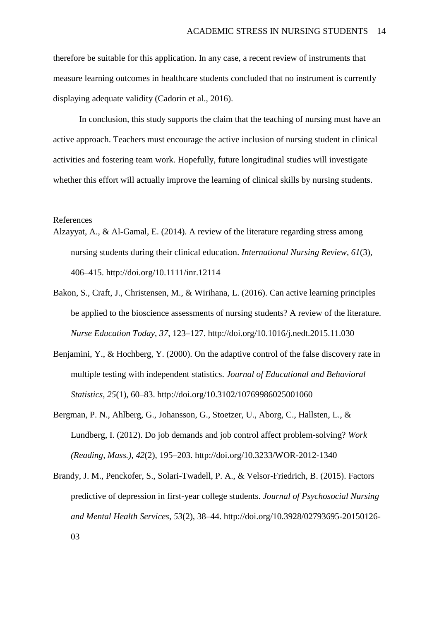therefore be suitable for this application. In any case, a recent review of instruments that measure learning outcomes in healthcare students concluded that no instrument is currently displaying adequate validity (Cadorin et al., 2016).

In conclusion, this study supports the claim that the teaching of nursing must have an active approach. Teachers must encourage the active inclusion of nursing student in clinical activities and fostering team work. Hopefully, future longitudinal studies will investigate whether this effort will actually improve the learning of clinical skills by nursing students.

#### References

- Alzayyat, A., & Al-Gamal, E. (2014). A review of the literature regarding stress among nursing students during their clinical education. *International Nursing Review*, *61*(3), 406–415. http://doi.org/10.1111/inr.12114
- Bakon, S., Craft, J., Christensen, M., & Wirihana, L. (2016). Can active learning principles be applied to the bioscience assessments of nursing students? A review of the literature. *Nurse Education Today*, *37*, 123–127. http://doi.org/10.1016/j.nedt.2015.11.030
- Benjamini, Y., & Hochberg, Y. (2000). On the adaptive control of the false discovery rate in multiple testing with independent statistics. *Journal of Educational and Behavioral Statistics*, *25*(1), 60–83. http://doi.org/10.3102/10769986025001060
- Bergman, P. N., Ahlberg, G., Johansson, G., Stoetzer, U., Aborg, C., Hallsten, L., & Lundberg, I. (2012). Do job demands and job control affect problem-solving? *Work (Reading, Mass.)*, *42*(2), 195–203. http://doi.org/10.3233/WOR-2012-1340
- Brandy, J. M., Penckofer, S., Solari-Twadell, P. A., & Velsor-Friedrich, B. (2015). Factors predictive of depression in first-year college students. *Journal of Psychosocial Nursing and Mental Health Services*, *53*(2), 38–44. http://doi.org/10.3928/02793695-20150126- 03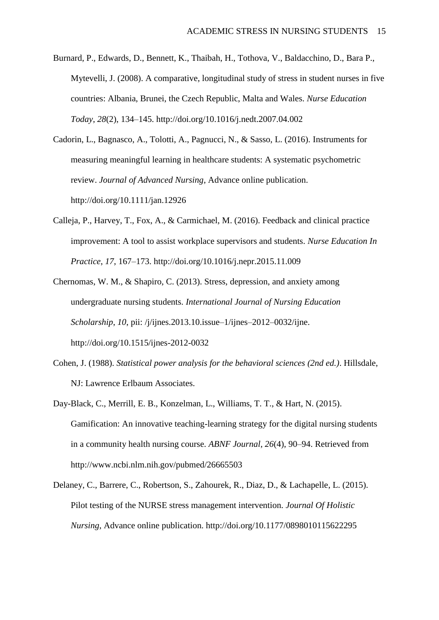Burnard, P., Edwards, D., Bennett, K., Thaibah, H., Tothova, V., Baldacchino, D., Bara P., Mytevelli, J. (2008). A comparative, longitudinal study of stress in student nurses in five countries: Albania, Brunei, the Czech Republic, Malta and Wales. *Nurse Education Today*, *28*(2), 134–145. http://doi.org/10.1016/j.nedt.2007.04.002

Cadorin, L., Bagnasco, A., Tolotti, A., Pagnucci, N., & Sasso, L. (2016). Instruments for measuring meaningful learning in healthcare students: A systematic psychometric review. *Journal of Advanced Nursing*, Advance online publication. http://doi.org/10.1111/jan.12926

- Calleja, P., Harvey, T., Fox, A., & Carmichael, M. (2016). Feedback and clinical practice improvement: A tool to assist workplace supervisors and students. *Nurse Education In Practice*, *17*, 167–173. http://doi.org/10.1016/j.nepr.2015.11.009
- Chernomas, W. M., & Shapiro, C. (2013). Stress, depression, and anxiety among undergraduate nursing students. *International Journal of Nursing Education Scholarship*, *10*, pii: /j/ijnes.2013.10.issue–1/ijnes–2012–0032/ijne. http://doi.org/10.1515/ijnes-2012-0032
- Cohen, J. (1988). *Statistical power analysis for the behavioral sciences (2nd ed.)*. Hillsdale, NJ: Lawrence Erlbaum Associates.
- Day-Black, C., Merrill, E. B., Konzelman, L., Williams, T. T., & Hart, N. (2015). Gamification: An innovative teaching-learning strategy for the digital nursing students in a community health nursing course. *ABNF Journal*, *26*(4), 90–94. Retrieved from http://www.ncbi.nlm.nih.gov/pubmed/26665503
- Delaney, C., Barrere, C., Robertson, S., Zahourek, R., Diaz, D., & Lachapelle, L. (2015). Pilot testing of the NURSE stress management intervention. *Journal Of Holistic Nursing*, Advance online publication. http://doi.org/10.1177/0898010115622295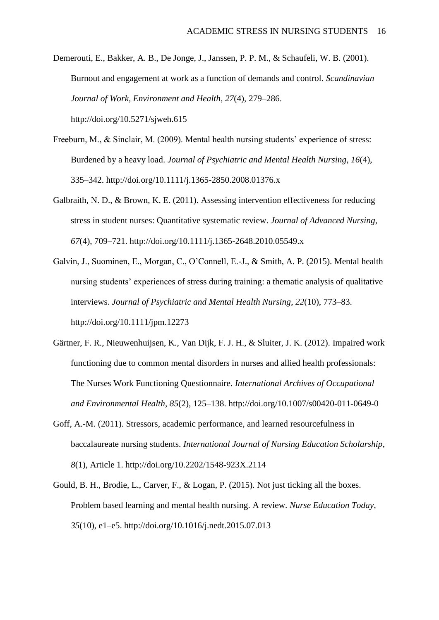Demerouti, E., Bakker, A. B., De Jonge, J., Janssen, P. P. M., & Schaufeli, W. B. (2001). Burnout and engagement at work as a function of demands and control. *Scandinavian Journal of Work, Environment and Health*, *27*(4), 279–286. http://doi.org/10.5271/sjweh.615

- Freeburn, M., & Sinclair, M. (2009). Mental health nursing students' experience of stress: Burdened by a heavy load. *Journal of Psychiatric and Mental Health Nursing*, *16*(4), 335–342. http://doi.org/10.1111/j.1365-2850.2008.01376.x
- Galbraith, N. D., & Brown, K. E. (2011). Assessing intervention effectiveness for reducing stress in student nurses: Quantitative systematic review. *Journal of Advanced Nursing*, *67*(4), 709–721. http://doi.org/10.1111/j.1365-2648.2010.05549.x
- Galvin, J., Suominen, E., Morgan, C., O'Connell, E.-J., & Smith, A. P. (2015). Mental health nursing students' experiences of stress during training: a thematic analysis of qualitative interviews. *Journal of Psychiatric and Mental Health Nursing*, *22*(10), 773–83. http://doi.org/10.1111/jpm.12273
- Gärtner, F. R., Nieuwenhuijsen, K., Van Dijk, F. J. H., & Sluiter, J. K. (2012). Impaired work functioning due to common mental disorders in nurses and allied health professionals: The Nurses Work Functioning Questionnaire. *International Archives of Occupational and Environmental Health*, *85*(2), 125–138. http://doi.org/10.1007/s00420-011-0649-0
- Goff, A.-M. (2011). Stressors, academic performance, and learned resourcefulness in baccalaureate nursing students. *International Journal of Nursing Education Scholarship*, *8*(1), Article 1. http://doi.org/10.2202/1548-923X.2114
- Gould, B. H., Brodie, L., Carver, F., & Logan, P. (2015). Not just ticking all the boxes. Problem based learning and mental health nursing. A review. *Nurse Education Today*, *35*(10), e1–e5. http://doi.org/10.1016/j.nedt.2015.07.013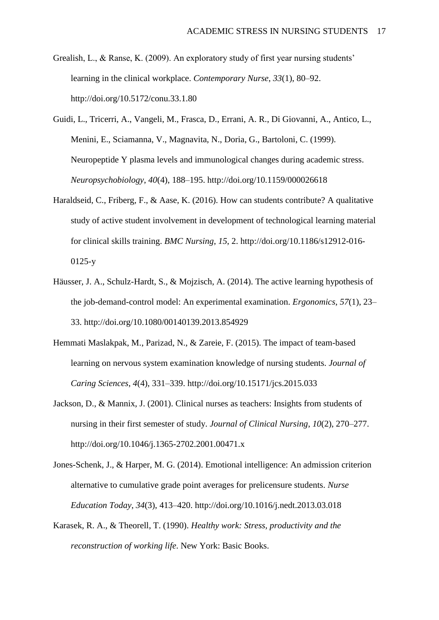- Grealish, L., & Ranse, K. (2009). An exploratory study of first year nursing students' learning in the clinical workplace. *Contemporary Nurse*, *33*(1), 80–92. http://doi.org/10.5172/conu.33.1.80
- Guidi, L., Tricerri, A., Vangeli, M., Frasca, D., Errani, A. R., Di Giovanni, A., Antico, L., Menini, E., Sciamanna, V., Magnavita, N., Doria, G., Bartoloni, C. (1999). Neuropeptide Y plasma levels and immunological changes during academic stress. *Neuropsychobiology*, *40*(4), 188–195. http://doi.org/10.1159/000026618
- Haraldseid, C., Friberg, F., & Aase, K. (2016). How can students contribute? A qualitative study of active student involvement in development of technological learning material for clinical skills training. *BMC Nursing*, *15*, 2. http://doi.org/10.1186/s12912-016- 0125-y
- Häusser, J. A., Schulz-Hardt, S., & Mojzisch, A. (2014). The active learning hypothesis of the job-demand-control model: An experimental examination. *Ergonomics*, *57*(1), 23– 33. http://doi.org/10.1080/00140139.2013.854929
- Hemmati Maslakpak, M., Parizad, N., & Zareie, F. (2015). The impact of team-based learning on nervous system examination knowledge of nursing students. *Journal of Caring Sciences*, *4*(4), 331–339. http://doi.org/10.15171/jcs.2015.033
- Jackson, D., & Mannix, J. (2001). Clinical nurses as teachers: Insights from students of nursing in their first semester of study. *Journal of Clinical Nursing*, *10*(2), 270–277. http://doi.org/10.1046/j.1365-2702.2001.00471.x
- Jones-Schenk, J., & Harper, M. G. (2014). Emotional intelligence: An admission criterion alternative to cumulative grade point averages for prelicensure students. *Nurse Education Today*, *34*(3), 413–420. http://doi.org/10.1016/j.nedt.2013.03.018
- Karasek, R. A., & Theorell, T. (1990). *Healthy work: Stress, productivity and the reconstruction of working life*. New York: Basic Books.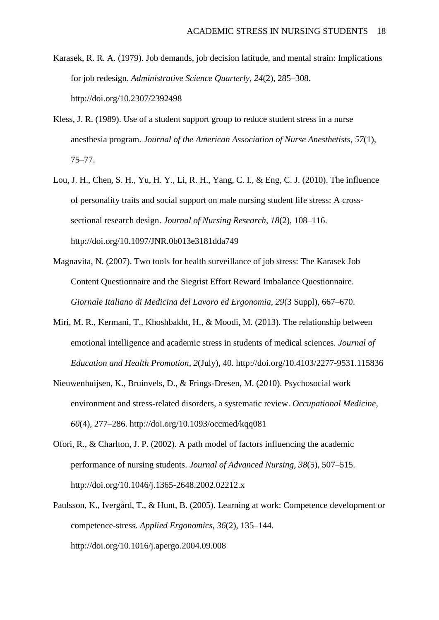- Karasek, R. R. A. (1979). Job demands, job decision latitude, and mental strain: Implications for job redesign. *Administrative Science Quarterly*, *24*(2), 285–308. http://doi.org/10.2307/2392498
- Kless, J. R. (1989). Use of a student support group to reduce student stress in a nurse anesthesia program. *Journal of the American Association of Nurse Anesthetists*, *57*(1), 75–77.
- Lou, J. H., Chen, S. H., Yu, H. Y., Li, R. H., Yang, C. I., & Eng, C. J. (2010). The influence of personality traits and social support on male nursing student life stress: A crosssectional research design. *Journal of Nursing Research*, *18*(2), 108–116. http://doi.org/10.1097/JNR.0b013e3181dda749
- Magnavita, N. (2007). Two tools for health surveillance of job stress: The Karasek Job Content Questionnaire and the Siegrist Effort Reward Imbalance Questionnaire. *Giornale Italiano di Medicina del Lavoro ed Ergonomia*, *29*(3 Suppl), 667–670.
- Miri, M. R., Kermani, T., Khoshbakht, H., & Moodi, M. (2013). The relationship between emotional intelligence and academic stress in students of medical sciences. *Journal of Education and Health Promotion*, *2*(July), 40. http://doi.org/10.4103/2277-9531.115836
- Nieuwenhuijsen, K., Bruinvels, D., & Frings-Dresen, M. (2010). Psychosocial work environment and stress-related disorders, a systematic review. *Occupational Medicine*, *60*(4), 277–286. http://doi.org/10.1093/occmed/kqq081
- Ofori, R., & Charlton, J. P. (2002). A path model of factors influencing the academic performance of nursing students. *Journal of Advanced Nursing*, *38*(5), 507–515. http://doi.org/10.1046/j.1365-2648.2002.02212.x
- Paulsson, K., Ivergård, T., & Hunt, B. (2005). Learning at work: Competence development or competence-stress. *Applied Ergonomics*, *36*(2), 135–144. http://doi.org/10.1016/j.apergo.2004.09.008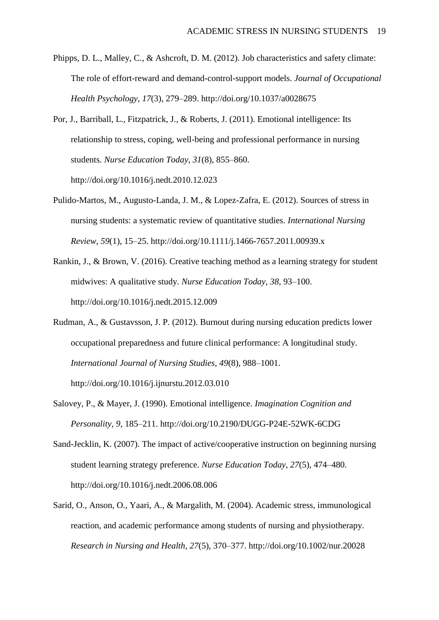- Phipps, D. L., Malley, C., & Ashcroft, D. M. (2012). Job characteristics and safety climate: The role of effort-reward and demand-control-support models. *Journal of Occupational Health Psychology*, *17*(3), 279–289. http://doi.org/10.1037/a0028675
- Por, J., Barriball, L., Fitzpatrick, J., & Roberts, J. (2011). Emotional intelligence: Its relationship to stress, coping, well-being and professional performance in nursing students. *Nurse Education Today*, *31*(8), 855–860. http://doi.org/10.1016/j.nedt.2010.12.023
- Pulido-Martos, M., Augusto-Landa, J. M., & Lopez-Zafra, E. (2012). Sources of stress in nursing students: a systematic review of quantitative studies. *International Nursing Review*, *59*(1), 15–25. http://doi.org/10.1111/j.1466-7657.2011.00939.x
- Rankin, J., & Brown, V. (2016). Creative teaching method as a learning strategy for student midwives: A qualitative study. *Nurse Education Today*, *38*, 93–100. http://doi.org/10.1016/j.nedt.2015.12.009
- Rudman, A., & Gustavsson, J. P. (2012). Burnout during nursing education predicts lower occupational preparedness and future clinical performance: A longitudinal study. *International Journal of Nursing Studies*, *49*(8), 988–1001. http://doi.org/10.1016/j.ijnurstu.2012.03.010
- Salovey, P., & Mayer, J. (1990). Emotional intelligence. *Imagination Cognition and Personality*, *9*, 185–211. http://doi.org/10.2190/DUGG-P24E-52WK-6CDG
- Sand-Jecklin, K. (2007). The impact of active/cooperative instruction on beginning nursing student learning strategy preference. *Nurse Education Today*, *27*(5), 474–480. http://doi.org/10.1016/j.nedt.2006.08.006
- Sarid, O., Anson, O., Yaari, A., & Margalith, M. (2004). Academic stress, immunological reaction, and academic performance among students of nursing and physiotherapy. *Research in Nursing and Health*, *27*(5), 370–377. http://doi.org/10.1002/nur.20028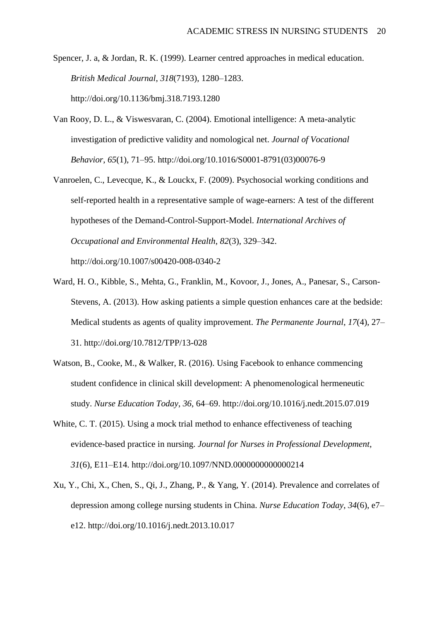- Spencer, J. a, & Jordan, R. K. (1999). Learner centred approaches in medical education. *British Medical Journal*, *318*(7193), 1280–1283. http://doi.org/10.1136/bmj.318.7193.1280
- Van Rooy, D. L., & Viswesvaran, C. (2004). Emotional intelligence: A meta-analytic investigation of predictive validity and nomological net. *Journal of Vocational Behavior*, *65*(1), 71–95. http://doi.org/10.1016/S0001-8791(03)00076-9
- Vanroelen, C., Levecque, K., & Louckx, F. (2009). Psychosocial working conditions and self-reported health in a representative sample of wage-earners: A test of the different hypotheses of the Demand-Control-Support-Model. *International Archives of Occupational and Environmental Health*, *82*(3), 329–342. http://doi.org/10.1007/s00420-008-0340-2
- Ward, H. O., Kibble, S., Mehta, G., Franklin, M., Kovoor, J., Jones, A., Panesar, S., Carson-Stevens, A. (2013). How asking patients a simple question enhances care at the bedside: Medical students as agents of quality improvement. *The Permanente Journal*, *17*(4), 27– 31. http://doi.org/10.7812/TPP/13-028
- Watson, B., Cooke, M., & Walker, R. (2016). Using Facebook to enhance commencing student confidence in clinical skill development: A phenomenological hermeneutic study. *Nurse Education Today*, *36*, 64–69. http://doi.org/10.1016/j.nedt.2015.07.019
- White, C. T. (2015). Using a mock trial method to enhance effectiveness of teaching evidence-based practice in nursing. *Journal for Nurses in Professional Development*, *31*(6), E11–E14. http://doi.org/10.1097/NND.0000000000000214
- Xu, Y., Chi, X., Chen, S., Qi, J., Zhang, P., & Yang, Y. (2014). Prevalence and correlates of depression among college nursing students in China. *Nurse Education Today*, *34*(6), e7– e12. http://doi.org/10.1016/j.nedt.2013.10.017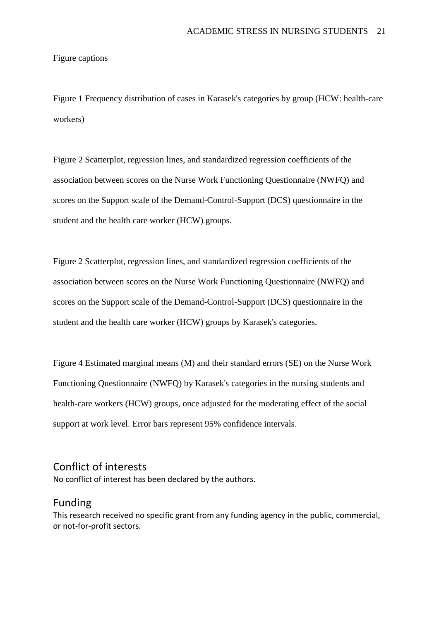Figure captions

Figure 1 Frequency distribution of cases in Karasek's categories by group (HCW: health-care workers)

Figure 2 Scatterplot, regression lines, and standardized regression coefficients of the association between scores on the Nurse Work Functioning Questionnaire (NWFQ) and scores on the Support scale of the Demand-Control-Support (DCS) questionnaire in the student and the health care worker (HCW) groups.

Figure 2 Scatterplot, regression lines, and standardized regression coefficients of the association between scores on the Nurse Work Functioning Questionnaire (NWFQ) and scores on the Support scale of the Demand-Control-Support (DCS) questionnaire in the student and the health care worker (HCW) groups by Karasek's categories.

Figure 4 Estimated marginal means (M) and their standard errors (SE) on the Nurse Work Functioning Questionnaire (NWFQ) by Karasek's categories in the nursing students and health-care workers (HCW) groups, once adjusted for the moderating effect of the social support at work level. Error bars represent 95% confidence intervals.

# Conflict of interests

No conflict of interest has been declared by the authors.

## Funding

This research received no specific grant from any funding agency in the public, commercial, or not-for-profit sectors.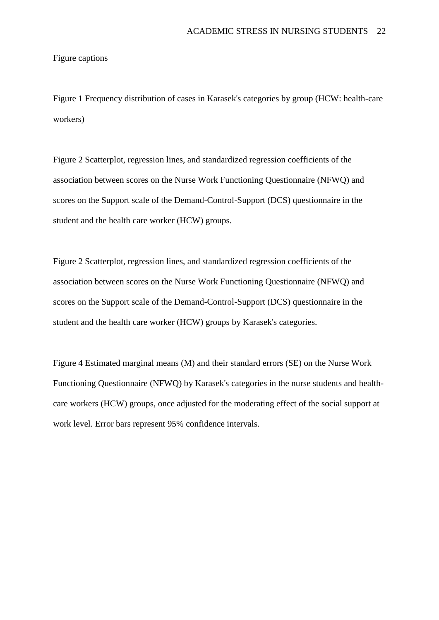Figure captions

Figure 1 Frequency distribution of cases in Karasek's categories by group (HCW: health-care workers)

Figure 2 Scatterplot, regression lines, and standardized regression coefficients of the association between scores on the Nurse Work Functioning Questionnaire (NFWQ) and scores on the Support scale of the Demand-Control-Support (DCS) questionnaire in the student and the health care worker (HCW) groups.

Figure 2 Scatterplot, regression lines, and standardized regression coefficients of the association between scores on the Nurse Work Functioning Questionnaire (NFWQ) and scores on the Support scale of the Demand-Control-Support (DCS) questionnaire in the student and the health care worker (HCW) groups by Karasek's categories.

Figure 4 Estimated marginal means (M) and their standard errors (SE) on the Nurse Work Functioning Questionnaire (NFWQ) by Karasek's categories in the nurse students and healthcare workers (HCW) groups, once adjusted for the moderating effect of the social support at work level. Error bars represent 95% confidence intervals.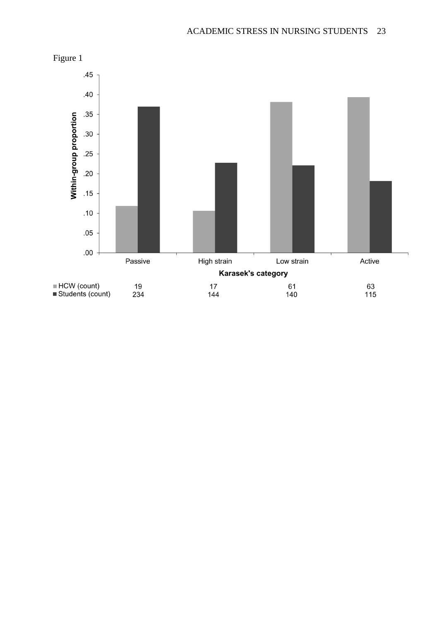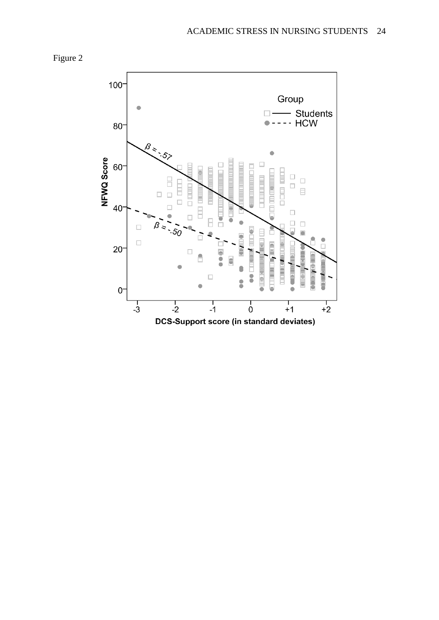

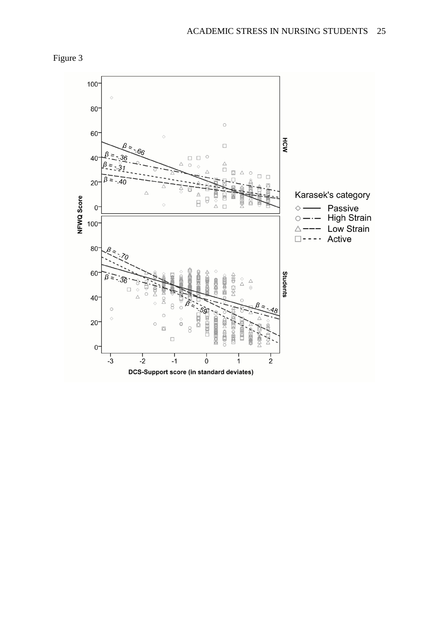

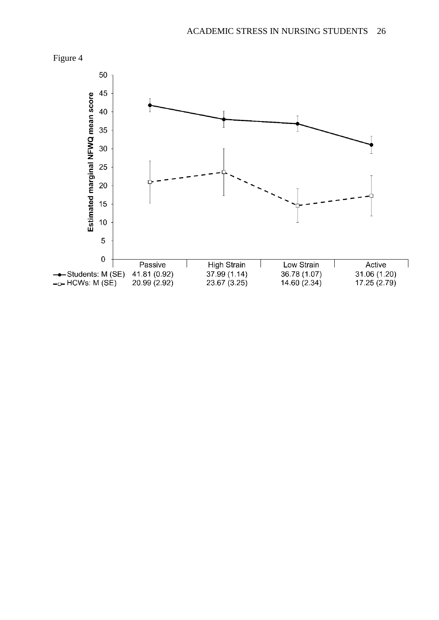